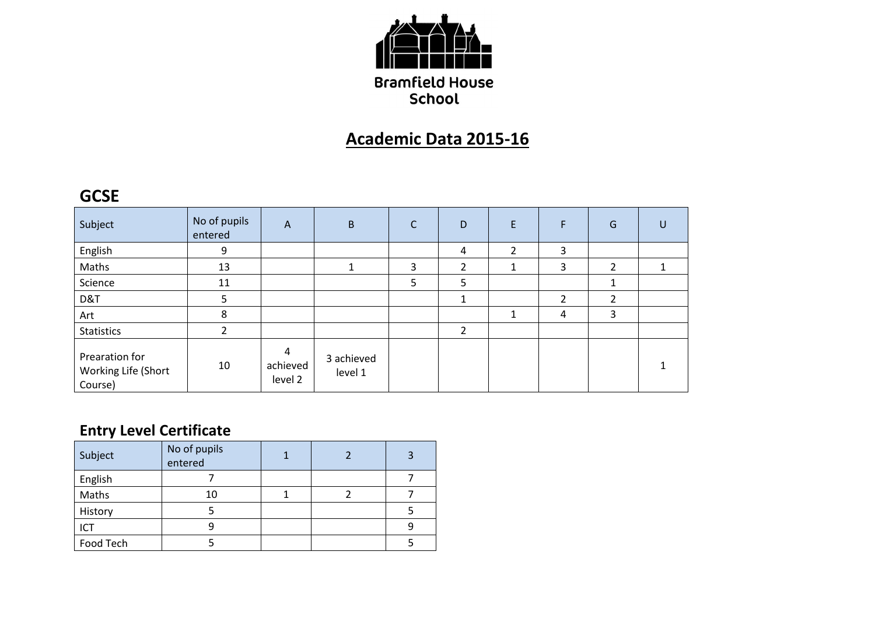

## **Academic Data 2015-16**

### **GCSE**

| Subject                                          | No of pupils<br>entered | A                        | B                     | С | D              | F              | F              | G              | U |
|--------------------------------------------------|-------------------------|--------------------------|-----------------------|---|----------------|----------------|----------------|----------------|---|
| English                                          | 9                       |                          |                       |   | 4              | $\overline{2}$ | 3              |                |   |
| Maths                                            | 13                      |                          |                       | 3 | $\overline{2}$ | Ŧ.             | 3              | $\overline{2}$ |   |
| Science                                          | 11                      |                          |                       | 5 | 5              |                |                | 4              |   |
| D&T                                              | 5.                      |                          |                       |   |                |                | $\overline{2}$ | $\overline{2}$ |   |
| Art                                              | 8                       |                          |                       |   |                | 1              | 4              | 3              |   |
| <b>Statistics</b>                                |                         |                          |                       |   | $\overline{2}$ |                |                |                |   |
| Prearation for<br>Working Life (Short<br>Course) | 10                      | 4<br>achieved<br>level 2 | 3 achieved<br>level 1 |   |                |                |                |                |   |

## **Entry Level Certificate**

| Subject   | No of pupils<br>entered |  | 3 |
|-----------|-------------------------|--|---|
| English   |                         |  |   |
| Maths     | 10                      |  |   |
| History   |                         |  |   |
| ICT       |                         |  |   |
| Food Tech |                         |  |   |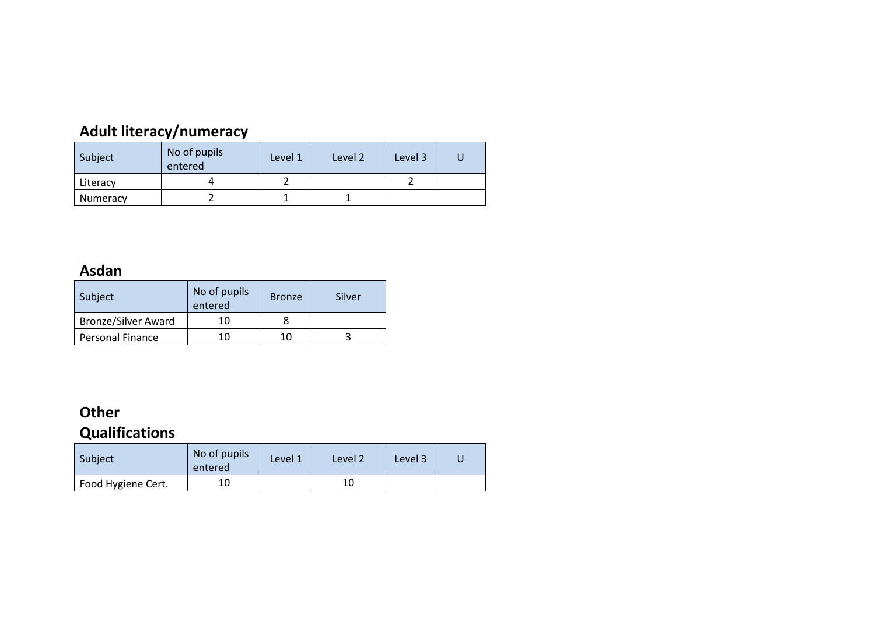## **Adult literacy/numeracy**

| Subject  | No of pupils<br>entered | Level 1 | Level 2 | Level 3 |  |
|----------|-------------------------|---------|---------|---------|--|
| Literacy |                         |         |         |         |  |
| Numeracy |                         |         |         |         |  |

#### **Asdan**

| Subject                    | No of pupils<br>entered | <b>Bronze</b> | Silver |  |
|----------------------------|-------------------------|---------------|--------|--|
| <b>Bronze/Silver Award</b> | 10                      |               |        |  |
| <b>Personal Finance</b>    | 10                      | 10            |        |  |

# **Other**

## **Qualifications**

| Subject            | No of pupils<br>entered | Level 1 | Level 2 | Level 3 |  |
|--------------------|-------------------------|---------|---------|---------|--|
| Food Hygiene Cert. |                         |         | 10      |         |  |